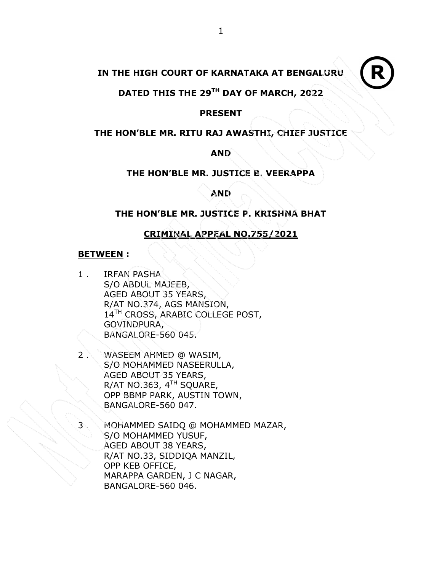# IN THE HIGH COURT OF KARNATAKA AT BENGALURU

# DATED THIS THE 29TH DAY OF MARCH, 2022

## PRESENT

## THE HON'BLE MR. RITU RAJ AWASTHI, CHIEF JUSTICE

## AND

# THE HON'BLE MR. JUSTICE B. VEERAPPA

# AND

# THE HON'BLE MR. JUSTICE P. KRISHNA BHAT

# CRIMINAL APPEAL NO.755/2021

## BETWEEN :

- 1 . IRFAN PASHA S/O ABDUL MAJEEB, AGED ABOUT 35 YEARS, R/AT NO.374, AGS MANSION, 14<sup>TH</sup> CROSS, ARABIC COLLEGE POST, GOVINDPURA, BANGALORE-560 045.
- 2 . WASEEM AHMED @ WASIM, S/O MOHAMMED NASEERULLA, AGED ABOUT 35 YEARS, R/AT NO.363,  $4<sup>TH</sup>$  SQUARE, OPP BBMP PARK, AUSTIN TOWN, BANGALORE-560 047.
	- MOHAMMED SAIDQ @ MOHAMMED MAZAR, S/O MOHAMMED YUSUF, AGED ABOUT 38 YEARS, R/AT NO.33, SIDDIQA MANZIL, OPP KEB OFFICE, MARAPPA GARDEN, J C NAGAR, BANGALORE-560 046.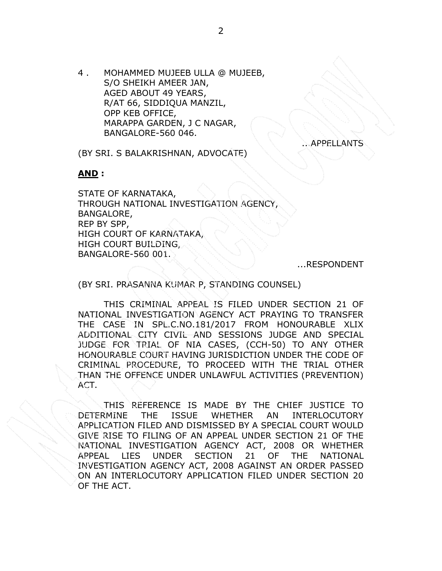4 . MOHAMMED MUJEEB ULLA @ MUJEEB, S/O SHEIKH AMEER JAN, AGED ABOUT 49 YEARS, R/AT 66, SIDDIQUA MANZIL, OPP KEB OFFICE, MARAPPA GARDEN, J C NAGAR, BANGALORE-560 046.

**APPELLANTS** 

(BY SRI. S BALAKRISHNAN, ADVOCATE)

### AND :

STATE OF KARNATAKA, THROUGH NATIONAL INVESTIGATION AGENCY, BANGALORE, REP BY SPP, HIGH COURT OF KARNATAKA, HIGH COURT BUILDING, BANGALORE-560 001.

...RESPONDENT

(BY SRI. PRASANNA KUMAR P, STANDING COUNSEL)

THIS CRIMINAL APPEAL IS FILED UNDER SECTION 21 OF NATIONAL INVESTIGATION AGENCY ACT PRAYING TO TRANSFER THE CASE IN SPL.C.NO.181/2017 FROM HONOURABLE XLIX ADDITIONAL CITY CIVIL AND SESSIONS JUDGE AND SPECIAL JUDGE FOR TRIAL OF NIA CASES, (CCH-50) TO ANY OTHER HONOURABLE COURT HAVING JURISDICTION UNDER THE CODE OF CRIMINAL PROCEDURE, TO PROCEED WITH THE TRIAL OTHER THAN THE OFFENCE UNDER UNLAWFUL ACTIVITIES (PREVENTION) ACT.

THIS REFERENCE IS MADE BY THE CHIEF JUSTICE TO DETERMINE THE ISSUE WHETHER AN INTERLOCUTORY APPLICATION FILED AND DISMISSED BY A SPECIAL COURT WOULD GIVE RISE TO FILING OF AN APPEAL UNDER SECTION 21 OF THE NATIONAL INVESTIGATION AGENCY ACT, 2008 OR WHETHER APPEAL LIES UNDER SECTION 21 OF THE NATIONAL INVESTIGATION AGENCY ACT, 2008 AGAINST AN ORDER PASSED ON AN INTERLOCUTORY APPLICATION FILED UNDER SECTION 20 OF THE ACT.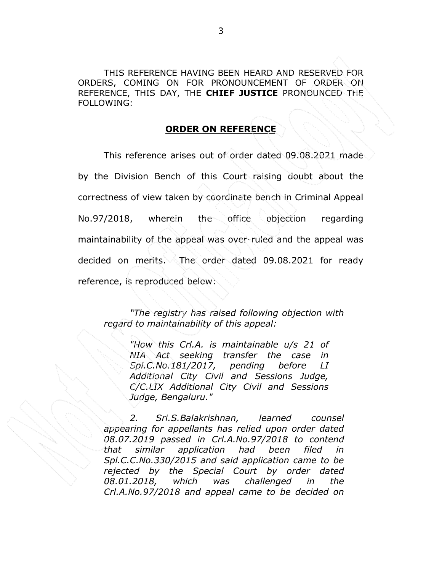THIS REFERENCE HAVING BEEN HEARD AND RESERVED FOR ORDERS, COMING ON FOR PRONOUNCEMENT OF ORDER ON REFERENCE, THIS DAY, THE CHIEF JUSTICE PRONOUNCED THE FOLLOWING:

## ORDER ON REFERENCE

 This reference arises out of order dated 09.08.2021 made by the Division Bench of this Court raising doubt about the correctness of view taken by coordinate bench in Criminal Appeal No.97/2018, wherein the office objection regarding maintainability of the appeal was over-ruled and the appeal was decided on merits. The order dated 09.08.2021 for ready reference, is reproduced below:

"The registry has raised following objection with regard to maintainability of this appeal:

> "How this Crl.A. is maintainable u/s 21 of NIA Act seeking transfer the case in Spl.C.No.181/2017, pending before LI Additional City Civil and Sessions Judge, C/C.LIX Additional City Civil and Sessions Judge, Bengaluru."

2. Sri.S.Balakrishnan, learned counsel appearing for appellants has relied upon order dated 08.07.2019 passed in Crl.A.No.97/2018 to contend that similar application had been filed in Spl.C.C.No.330/2015 and said application came to be rejected by the Special Court by order dated 08.01.2018, which was challenged in the Crl.A.No.97/2018 and appeal came to be decided on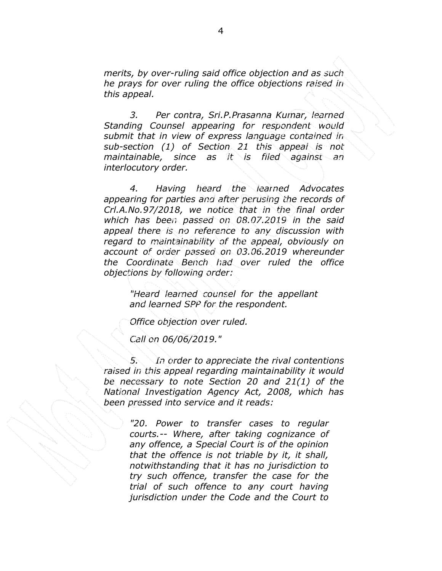merits, by over-ruling said office objection and as such he prays for over ruling the office objections raised in this appeal.

3. Per contra, Sri.P.Prasanna Kumar, learned Standing Counsel appearing for respondent would submit that in view of express language contained in sub-section (1) of Section 21 this appeal is not maintainable, since as it is filed against an interlocutory order.

4. Having heard the learned Advocates appearing for parties and after perusing the records of Crl.A.No.97/2018, we notice that in the final order which has been passed on 08.07.2019 in the said appeal there is no reference to any discussion with regard to maintainability of the appeal, obviously on account of order passed on 03.06.2019 whereunder the Coordinate Bench had over ruled the office objections by following order:

> "Heard learned counsel for the appellant and learned SPP for the respondent.

Office objection over ruled.

Call on 06/06/2019."

5. In order to appreciate the rival contentions raised in this appeal regarding maintainability it would be necessary to note Section 20 and 21(1) of the National Investigation Agency Act, 2008, which has been pressed into service and it reads:

> "20. Power to transfer cases to regular courts.-- Where, after taking cognizance of any offence, a Special Court is of the opinion that the offence is not triable by it, it shall, notwithstanding that it has no jurisdiction to try such offence, transfer the case for the trial of such offence to any court having jurisdiction under the Code and the Court to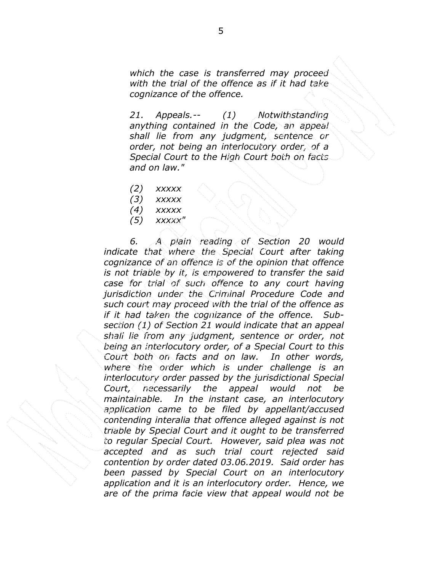which the case is transferred may proceed with the trial of the offence as if it had take cognizance of the offence.

21. Appeals.-- (1) Notwithstanding anything contained in the Code, an appeal shall lie from any judgment, sentence or order, not being an interlocutory order, of a Special Court to the High Court both on facts and on law."

 $(2)$  xxxxx

- $(3)$  xxxxx
- $(4)$  xxxxx
- $(5)$  xxxxx"

6. A plain reading of Section 20 would indicate that where the Special Court after taking cognizance of an offence is of the opinion that offence is not triable by it, is empowered to transfer the said case for trial of such offence to any court having jurisdiction under the Criminal Procedure Code and such court may proceed with the trial of the offence as if it had taken the cognizance of the offence. Subsection (1) of Section 21 would indicate that an appeal shall lie from any judgment, sentence or order, not being an interlocutory order, of a Special Court to this Court both on facts and on law. In other words, where the order which is under challenge is an interlocutory order passed by the jurisdictional Special Court, necessarily the appeal would not be maintainable. In the instant case, an interlocutory application came to be filed by appellant/accused contending interalia that offence alleged against is not triable by Special Court and it ought to be transferred to regular Special Court. However, said plea was not accepted and as such trial court rejected said contention by order dated 03.06.2019. Said order has been passed by Special Court on an interlocutory application and it is an interlocutory order. Hence, we are of the prima facie view that appeal would not be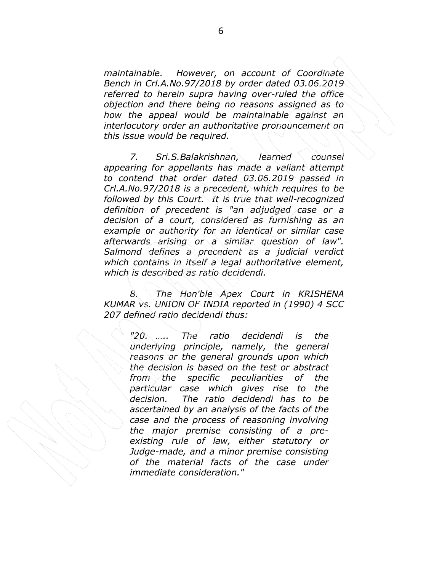maintainable. However, on account of Coordinate Bench in Crl.A.No.97/2018 by order dated 03.06.2019 referred to herein supra having over-ruled the office objection and there being no reasons assigned as to how the appeal would be maintainable against an interlocutory order an authoritative pronouncement on this issue would be required.

7. Sri.S.Balakrishnan, learned counsel appearing for appellants has made a valiant attempt to contend that order dated 03.06.2019 passed in Crl.A.No.97/2018 is a precedent, which requires to be followed by this Court. It is true that well-recognized definition of precedent is "an adjudged case or a decision of a court, considered as furnishing as an example or authority for an identical or similar case afterwards arising or a similar question of law". Salmond defines a precedent as a judicial verdict which contains in itself a legal authoritative element, which is described as ratio decidendi.

8. The Hon'ble Apex Court in KRISHENA KUMAR vs. UNION OF INDIA reported in (1990) 4 SCC 207 defined ratio decidendi thus:

> "20. ….. The ratio decidendi is the underlying principle, namely, the general reasons or the general grounds upon which the decision is based on the test or abstract from the specific peculiarities of the particular case which gives rise to the decision. The ratio decidendi has to be ascertained by an analysis of the facts of the case and the process of reasoning involving the major premise consisting of a preexisting rule of law, either statutory or Judge-made, and a minor premise consisting of the material facts of the case under immediate consideration."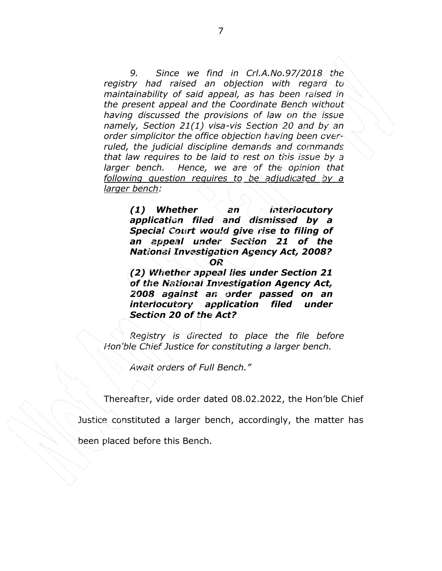9. Since we find in Crl.A.No.97/2018 the registry had raised an objection with regard to maintainability of said appeal, as has been raised in the present appeal and the Coordinate Bench without having discussed the provisions of law on the issue namely, Section 21(1) visa-vis Section 20 and by an order simplicitor the office objection having been overruled, the judicial discipline demands and commands that law requires to be laid to rest on this issue by a larger bench. Hence, we are of the opinion that following question requires to be adjudicated by a larger bench:

> (1) Whether an interlocutory application filed and dismissed by a Special Court would give rise to filing of an appeal under Section 21 of the National Investigation Agency Act, 2008? OR

> (2) Whether appeal lies under Section 21 of the National Investigation Agency Act, 2008 against an order passed on an interlocutory application filed under Section 20 of the Act?

Registry is directed to place the file before Hon'ble Chief Justice for constituting a larger bench.

Await orders of Full Bench."

Thereafter, vide order dated 08.02.2022, the Hon'ble Chief

Justice constituted a larger bench, accordingly, the matter has

been placed before this Bench.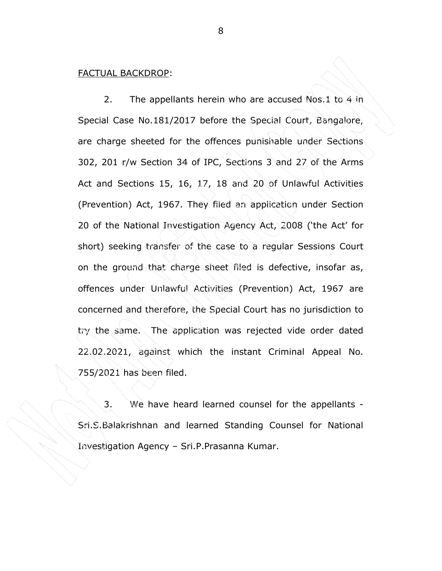#### FACTUAL BACKDROP:

 2. The appellants herein who are accused Nos.1 to 4 in Special Case No.181/2017 before the Special Court, Bangalore, are charge sheeted for the offences punishable under Sections 302, 201 r/w Section 34 of IPC, Sections 3 and 27 of the Arms Act and Sections 15, 16, 17, 18 and 20 of Unlawful Activities (Prevention) Act, 1967. They filed an application under Section 20 of the National Investigation Agency Act, 2008 ('the Act' for short) seeking transfer of the case to a regular Sessions Court on the ground that charge sheet filed is defective, insofar as, offences under Unlawful Activities (Prevention) Act, 1967 are concerned and therefore, the Special Court has no jurisdiction to try the same. The application was rejected vide order dated 22.02.2021, against which the instant Criminal Appeal No. 755/2021 has been filed.

3. We have heard learned counsel for the appellants - Sri.S.Balakrishnan and learned Standing Counsel for National Investigation Agency – Sri.P.Prasanna Kumar.

8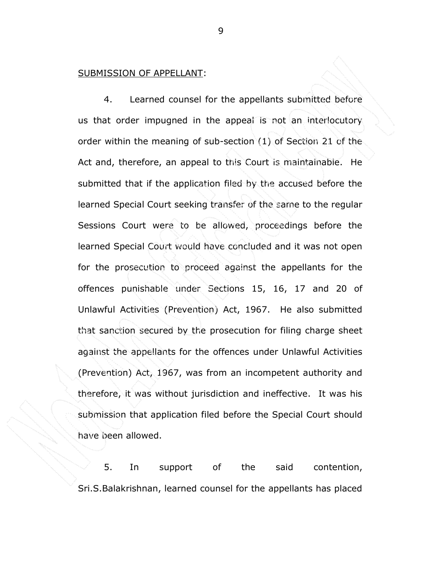#### SUBMISSION OF APPELLANT:

4. Learned counsel for the appellants submitted before us that order impugned in the appeal is not an interlocutory order within the meaning of sub-section (1) of Section 21 of the Act and, therefore, an appeal to this Court is maintainable. He submitted that if the application filed by the accused before the learned Special Court seeking transfer of the same to the regular Sessions Court were to be allowed, proceedings before the learned Special Court would have concluded and it was not open for the prosecution to proceed against the appellants for the offences punishable under Sections 15, 16, 17 and 20 of Unlawful Activities (Prevention) Act, 1967. He also submitted that sanction secured by the prosecution for filing charge sheet against the appellants for the offences under Unlawful Activities (Prevention) Act, 1967, was from an incompetent authority and therefore, it was without jurisdiction and ineffective. It was his submission that application filed before the Special Court should have been allowed.

5. In support of the said contention, Sri.S.Balakrishnan, learned counsel for the appellants has placed

9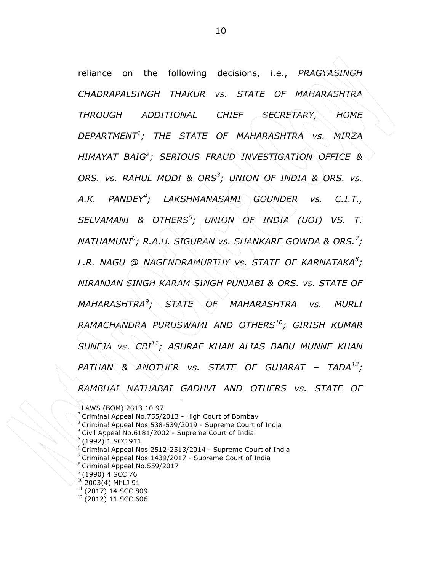reliance on the following decisions, i.e., PRAGYASINGH CHADRAPALSINGH THAKUR vs. STATE OF MAHARASHTRA THROUGH ADDITIONAL CHIEF SECRETARY, HOME  $\mathsf{DEPARTMENT}^1$ ; THE STATE OF MAHARASHTRA vs. MIRZA HIMAYAT BAIG<sup>2</sup> ; SERIOUS FRAUD INVESTIGATION OFFICE & ORS. vs. RAHUL MODI & ORS<sup>3</sup>; UNION OF INDIA & ORS. vs. A.K. PANDEY<sup>4</sup>; LAKSHMANASAMI GOUNDER vs. C.I.T., SELVAMANI & OTHERS<sup>5</sup>; UNION OF INDIA (UOI) VS. T. NATHAMUNI $^6$ ; R.A.H. SIGURAN vs. SHANKARE GOWDA & ORS. $^7$ ; L.R. NAGU @ NAGENDRAMURTHY vs. STATE OF KARNATAKA $^8\!$ ; NIRANJAN SINGH KARAM SINGH PUNJABI & ORS. vs. STATE OF MAHARASHTRA<sup>9</sup>; STATE OF MAHARASHTRA vs. MURLI RAMACHANDRA PURUSWAMI AND OTHERS<sup>10</sup>; GIRISH KUMAR SUNEJA Vs.  $CEI^{11}$ : ASHRAF KHAN ALIAS BABU MUNNE KHAN  $PATHAN$  & ANOTHER vs. STATE OF GUJARAT – TADA $^{12}$ : RAMBHAI NATHABAI GADHVI AND OTHERS vs. STATE OF

- <sup>4</sup> Civil Appeal No.6181/2002 Supreme Court of India 5
- (1992) 1 SCC 911
- <sup>6</sup> Criminal Appeal Nos.2512-2513/2014 Supreme Court of India
- Criminal Appeal Nos.1439/2017 Supreme Court of India
- <sup>8</sup> Criminal Appeal No.559/2017
- $9(1990)$  4 SCC 76
- $10^{10}$  2003(4) MhLJ 91
- $11$  (2017) 14 SCC 809
- <sup>12</sup> (2012) 11 SCC 606

<sup>1</sup> LAWS (BOM) 2013 10 97

 $2$  Criminal Appeal No.755/2013 - High Court of Bombay

<sup>3</sup> Criminal Appeal Nos.538-539/2019 - Supreme Court of India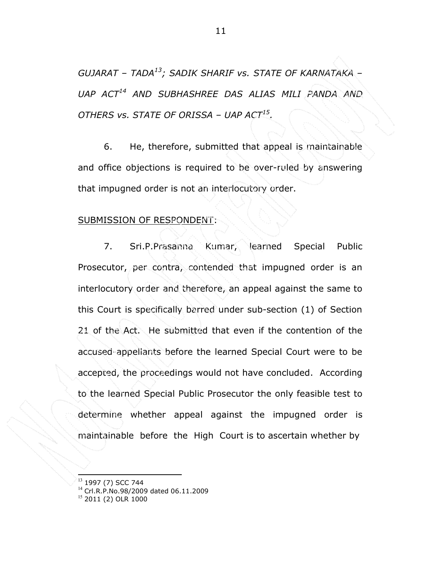GUJARAT – TADA<sup>13</sup>; SADIK SHARIF vs. STATE OF KARNATAKA – UAP ACT<sup>14</sup> AND SUBHASHREE DAS ALIAS MILI PANDA AND OTHERS vs. STATE OF ORISSA – UAP ACT15.

6. He, therefore, submitted that appeal is maintainable and office objections is required to be over-ruled by answering that impugned order is not an interlocutory order.

### SUBMISSION OF RESPONDENT:

 7. Sri.P.Prasanna Kumar, learned Special Public Prosecutor, per contra, contended that impugned order is an interlocutory order and therefore, an appeal against the same to this Court is specifically barred under sub-section (1) of Section 21 of the Act. He submitted that even if the contention of the accused-appellants before the learned Special Court were to be accepted, the proceedings would not have concluded. According to the learned Special Public Prosecutor the only feasible test to determine whether appeal against the impugned order is maintainable before the High Court is to ascertain whether by

<sup>&</sup>lt;sup>13</sup> 1997 (7) SCC 744

<sup>14</sup> Crl.R.P.No.98/2009 dated 06.11.2009

<sup>&</sup>lt;sup>15</sup> 2011 (2) OLR 1000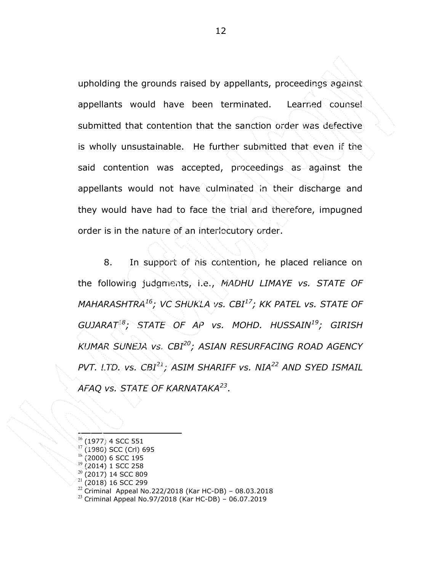upholding the grounds raised by appellants, proceedings against appellants would have been terminated. Learned counsel submitted that contention that the sanction order was defective is wholly unsustainable. He further submitted that even if the said contention was accepted, proceedings as against the appellants would not have culminated in their discharge and they would have had to face the trial and therefore, impugned order is in the nature of an interlocutory order.

8. In support of his contention, he placed reliance on the following judgments, i.e., MADHU LIMAYE vs. STATE OF MAHARASHTRA<sup>16</sup>; VC SHUKLA vs. CBI<sup>17</sup>; KK PATEL vs. STATE OF GUJARAT<sup>18</sup>; STATE OF AP vs. MOHD. HUSSAIN<sup>19</sup>; GIRISH KUMAR SUNEJA vs. CBI<sup>20</sup>; ASIAN RESURFACING ROAD AGENCY PVT. LTD. vs.  $CBI^{21}$ ; ASIM SHARIFF vs. NIA<sup>22</sup> AND SYED ISMAIL AFAQ vs. STATE OF KARNATAKA<sup>23</sup>.

 $^{22}$  Criminal Appeal No.222/2018 (Kar HC-DB) – 08.03.2018

<sup>16</sup> (1977) 4 SCC 551

<sup>17</sup> (1980) SCC (Crl) 695

 $\frac{18}{19}$  (2000) 6 SCC 195

<sup>(2014) 1</sup> SCC 258

<sup>20</sup> (2017) 14 SCC 809

 $21$  (2018) 16 SCC 299

 $^{23}$  Criminal Appeal No.97/2018 (Kar HC-DB) – 06.07.2019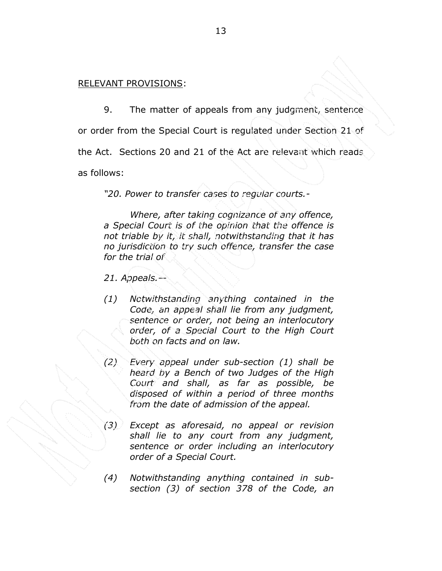## RELEVANT PROVISIONS:

9. The matter of appeals from any judgment, sentence

or order from the Special Court is regulated under Section 21 of

the Act. Sections 20 and 21 of the Act are relevant which reads

as follows:

"20. Power to transfer cases to regular courts.-

Where, after taking cognizance of any offence, a Special Court is of the opinion that the offence is not triable by it, it shall, notwithstanding that it has no jurisdiction to try such offence, transfer the case for the trial of

21. Appeals.—

- (1) Notwithstanding anything contained in the Code, an appeal shall lie from any judgment, sentence or order, not being an interlocutory order, of a Special Court to the High Court both on facts and on law.
- (2) Every appeal under sub-section (1) shall be heard by a Bench of two Judges of the High Court and shall, as far as possible, be disposed of within a period of three months from the date of admission of the appeal.
- (3) Except as aforesaid, no appeal or revision shall lie to any court from any judgment, sentence or order including an interlocutory order of a Special Court.
- (4) Notwithstanding anything contained in subsection (3) of section 378 of the Code, an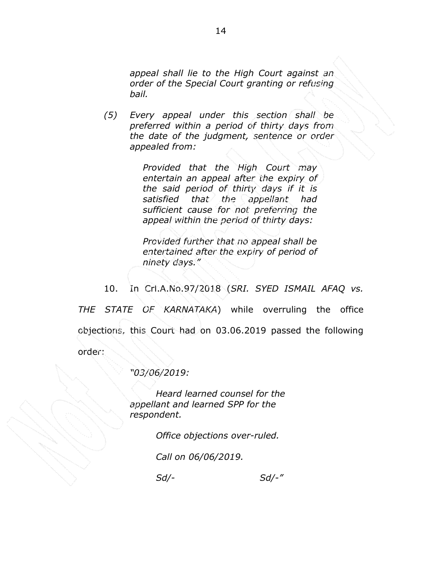appeal shall lie to the High Court against an order of the Special Court granting or refusing bail.

(5) Every appeal under this section shall be preferred within a period of thirty days from the date of the judgment, sentence or order appealed from:

> Provided that the High Court may entertain an appeal after the expiry of the said period of thirty days if it is satisfied that the appellant had sufficient cause for not preferring the appeal within the period of thirty days:

Provided further that no appeal shall be entertained after the expiry of period of ninety days."

10. In Crl.A.No.97/2018 (SRI. SYED ISMAIL AFAQ vs.

THE STATE OF KARNATAKA) while overruling the office objections, this Court had on 03.06.2019 passed the following order:

"03/06/2019:

Heard learned counsel for the appellant and learned SPP for the respondent.

Office objections over-ruled.

Call on 06/06/2019.

Sd/- Sd/-"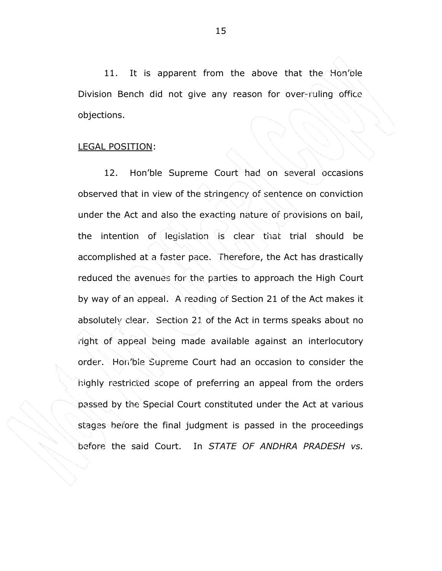11. It is apparent from the above that the Hon'ble Division Bench did not give any reason for over-ruling office objections.

### LEGAL POSITION:

12. Hon'ble Supreme Court had on several occasions observed that in view of the stringency of sentence on conviction under the Act and also the exacting nature of provisions on bail, the intention of legislation is clear that trial should be accomplished at a faster pace. Therefore, the Act has drastically reduced the avenues for the parties to approach the High Court by way of an appeal. A reading of Section 21 of the Act makes it absolutely clear. Section 21 of the Act in terms speaks about no right of appeal being made available against an interlocutory order. Hon'ble Supreme Court had an occasion to consider the highly restricted scope of preferring an appeal from the orders passed by the Special Court constituted under the Act at various stages before the final judgment is passed in the proceedings before the said Court. In STATE OF ANDHRA PRADESH vs.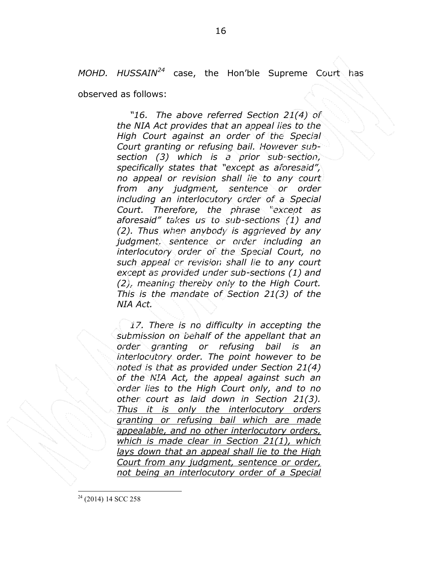MOHD. HUSSAIN<sup>24</sup> case, the Hon'ble Supreme Court has

observed as follows:

"16. The above referred Section 21(4) of the NIA Act provides that an appeal lies to the High Court against an order of the Special Court granting or refusing bail. However subsection (3) which is a prior sub-section, specifically states that "except as aforesaid", no appeal or revision shall lie to any court from any judgment, sentence or order including an interlocutory order of a Special Court. Therefore, the phrase "except as aforesaid" takes us to sub-sections (1) and (2). Thus when anybody is aggrieved by any judgment, sentence or order including an interlocutory order of the Special Court, no such appeal or revision shall lie to any court except as provided under sub-sections (1) and (2), meaning thereby only to the High Court. This is the mandate of Section 21(3) of the NIA Act.

17. There is no difficulty in accepting the submission on behalf of the appellant that an order granting or refusing bail is an interlocutory order. The point however to be noted is that as provided under Section 21(4) of the NIA Act, the appeal against such an order lies to the High Court only, and to no other court as laid down in Section 21(3). Thus it is only the interlocutory orders granting or refusing bail which are made appealable, and no other interlocutory orders, which is made clear in Section 21(1), which lays down that an appeal shall lie to the High Court from any judgment, sentence or order, not being an interlocutory order of a Special

<sup>24</sup> (2014) 14 SCC 258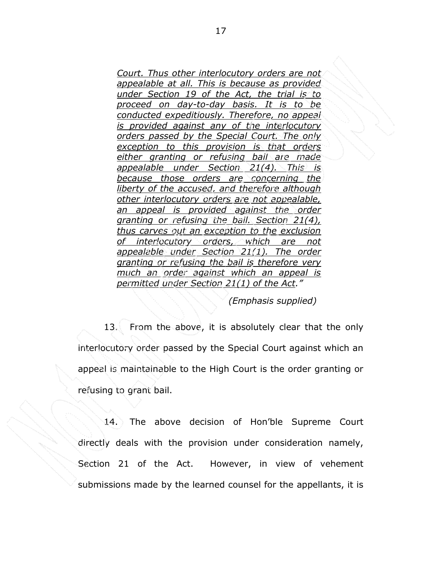Court. Thus other interlocutory orders are not appealable at all. This is because as provided under Section 19 of the Act, the trial is to proceed on day-to-day basis. It is to be conducted expeditiously. Therefore, no appeal is provided against any of the interlocutory orders passed by the Special Court. The only exception to this provision is that orders either granting or refusing bail are made appealable under Section 21(4). This is because those orders are concerning the liberty of the accused, and therefore although other interlocutory orders are not appealable, an appeal is provided against the order granting or refusing the bail. Section 21(4), thus carves out an exception to the exclusion of interlocutory orders, which are not appealable under Section 21(1). The order granting or refusing the bail is therefore very much an order against which an appeal is permitted under Section 21(1) of the Act."

(Emphasis supplied)

 13. From the above, it is absolutely clear that the only interlocutory order passed by the Special Court against which an appeal is maintainable to the High Court is the order granting or refusing to grant bail.

 14. The above decision of Hon'ble Supreme Court directly deals with the provision under consideration namely, Section 21 of the Act. However, in view of vehement submissions made by the learned counsel for the appellants, it is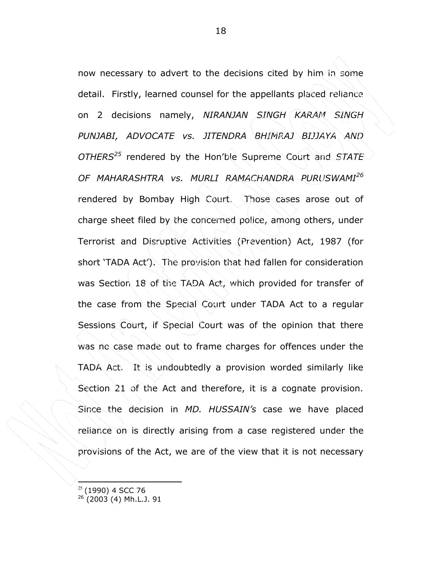now necessary to advert to the decisions cited by him in some detail. Firstly, learned counsel for the appellants placed reliance on 2 decisions namely, NIRANJAN SINGH KARAM SINGH PUNJABI, ADVOCATE vs. JITENDRA BHIMRAJ BIJJAYA AND  $OTHERS<sup>25</sup>$  rendered by the Hon'ble Supreme Court and STATE OF MAHARASHTRA vs. MURLI RAMACHANDRA PURUSWAMI<sup>26</sup> rendered by Bombay High Court. Those cases arose out of charge sheet filed by the concerned police, among others, under Terrorist and Disruptive Activities (Prevention) Act, 1987 (for short 'TADA Act'). The provision that had fallen for consideration was Section 18 of the TADA Act, which provided for transfer of the case from the Special Court under TADA Act to a regular Sessions Court, if Special Court was of the opinion that there was no case made out to frame charges for offences under the TADA Act. It is undoubtedly a provision worded similarly like Section 21 of the Act and therefore, it is a cognate provision. Since the decision in MD. HUSSAIN's case we have placed reliance on is directly arising from a case registered under the provisions of the Act, we are of the view that it is not necessary

 $25$  (1990) 4 SCC 76

 $26$  (2003 (4) Mh.L.J. 91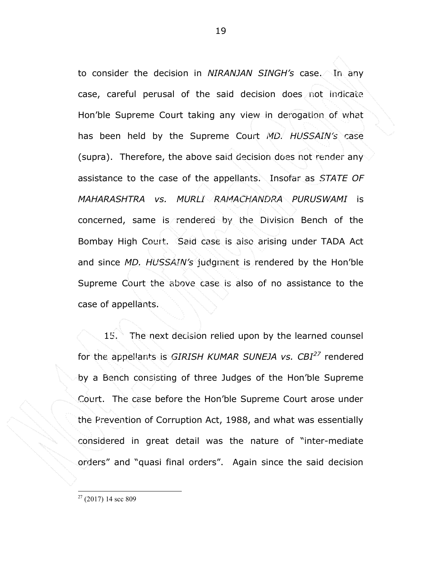to consider the decision in NIRANJAN SINGH's case. In any case, careful perusal of the said decision does not indicate Hon'ble Supreme Court taking any view in derogation of what has been held by the Supreme Court MD. HUSSAIN's case (supra). Therefore, the above said decision does not render any assistance to the case of the appellants. Insofar as *STATE OF* MAHARASHTRA vs. MURLI RAMACHANDRA PURUSWAMI is concerned, same is rendered by the Division Bench of the Bombay High Court. Said case is also arising under TADA Act and since MD. HUSSAIN's judgment is rendered by the Hon'ble Supreme Court the above case is also of no assistance to the case of appellants.

 15. The next decision relied upon by the learned counsel for the appellants is GIRISH KUMAR SUNEJA vs.  $CBI<sup>27</sup>$  rendered by a Bench consisting of three Judges of the Hon'ble Supreme Court. The case before the Hon'ble Supreme Court arose under the Prevention of Corruption Act, 1988, and what was essentially considered in great detail was the nature of "inter-mediate orders" and "quasi final orders". Again since the said decision

 $27$  (2017) 14 scc 809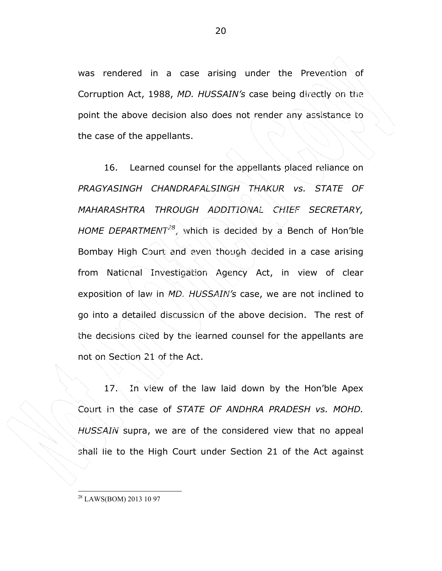was rendered in a case arising under the Prevention of Corruption Act, 1988, MD. HUSSAIN's case being directly on the point the above decision also does not render any assistance to the case of the appellants.

 16. Learned counsel for the appellants placed reliance on PRAGYASINGH CHANDRAPALSINGH THAKUR vs. STATE OF MAHARASHTRA THROUGH ADDITIONAL CHIEF SECRETARY, HOME DEPARTMENT<sup>28</sup>, which is decided by a Bench of Hon'ble Bombay High Court and even though decided in a case arising from National Investigation Agency Act, in view of clear exposition of law in MD. HUSSAIN's case, we are not inclined to go into a detailed discussion of the above decision. The rest of the decisions cited by the learned counsel for the appellants are not on Section 21 of the Act.

17. In view of the law laid down by the Hon'ble Apex Court in the case of STATE OF ANDHRA PRADESH vs. MOHD.  $HUSSAIN$  supra, we are of the considered view that no appeal shall lie to the High Court under Section 21 of the Act against

<sup>28</sup> LAWS(BOM) 2013 10 97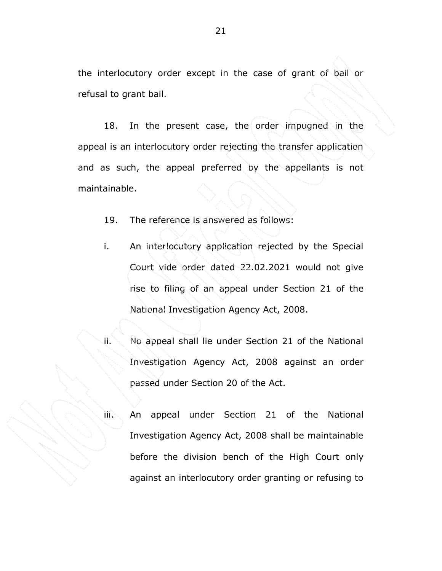the interlocutory order except in the case of grant of bail or refusal to grant bail.

18. In the present case, the order impugned in the appeal is an interlocutory order rejecting the transfer application and as such, the appeal preferred by the appellants is not maintainable.

19. The reference is answered as follows:

i. An interlocutory application rejected by the Special Court vide order dated 22.02.2021 would not give rise to filing of an appeal under Section 21 of the National Investigation Agency Act, 2008.

ii. No appeal shall lie under Section 21 of the National Investigation Agency Act, 2008 against an order passed under Section 20 of the Act.

iii. An appeal under Section 21 of the National Investigation Agency Act, 2008 shall be maintainable before the division bench of the High Court only against an interlocutory order granting or refusing to